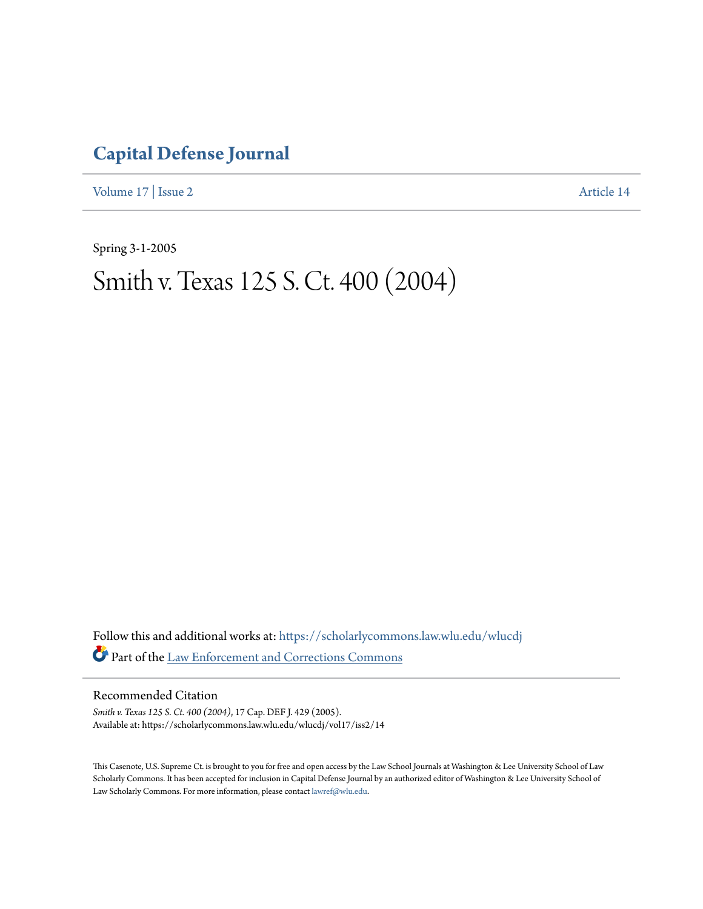## **[Capital Defense Journal](https://scholarlycommons.law.wlu.edu/wlucdj?utm_source=scholarlycommons.law.wlu.edu%2Fwlucdj%2Fvol17%2Fiss2%2F14&utm_medium=PDF&utm_campaign=PDFCoverPages)**

[Volume 17](https://scholarlycommons.law.wlu.edu/wlucdj/vol17?utm_source=scholarlycommons.law.wlu.edu%2Fwlucdj%2Fvol17%2Fiss2%2F14&utm_medium=PDF&utm_campaign=PDFCoverPages) | [Issue 2](https://scholarlycommons.law.wlu.edu/wlucdj/vol17/iss2?utm_source=scholarlycommons.law.wlu.edu%2Fwlucdj%2Fvol17%2Fiss2%2F14&utm_medium=PDF&utm_campaign=PDFCoverPages) [Article 14](https://scholarlycommons.law.wlu.edu/wlucdj/vol17/iss2/14?utm_source=scholarlycommons.law.wlu.edu%2Fwlucdj%2Fvol17%2Fiss2%2F14&utm_medium=PDF&utm_campaign=PDFCoverPages)

Spring 3-1-2005 Smith v. Texas 125 S. Ct. 400 (2004)

Follow this and additional works at: [https://scholarlycommons.law.wlu.edu/wlucdj](https://scholarlycommons.law.wlu.edu/wlucdj?utm_source=scholarlycommons.law.wlu.edu%2Fwlucdj%2Fvol17%2Fiss2%2F14&utm_medium=PDF&utm_campaign=PDFCoverPages) Part of the [Law Enforcement and Corrections Commons](http://network.bepress.com/hgg/discipline/854?utm_source=scholarlycommons.law.wlu.edu%2Fwlucdj%2Fvol17%2Fiss2%2F14&utm_medium=PDF&utm_campaign=PDFCoverPages)

Recommended Citation

*Smith v. Texas 125 S. Ct. 400 (2004)*, 17 Cap. DEF J. 429 (2005). Available at: https://scholarlycommons.law.wlu.edu/wlucdj/vol17/iss2/14

This Casenote, U.S. Supreme Ct. is brought to you for free and open access by the Law School Journals at Washington & Lee University School of Law Scholarly Commons. It has been accepted for inclusion in Capital Defense Journal by an authorized editor of Washington & Lee University School of Law Scholarly Commons. For more information, please contact [lawref@wlu.edu.](mailto:lawref@wlu.edu)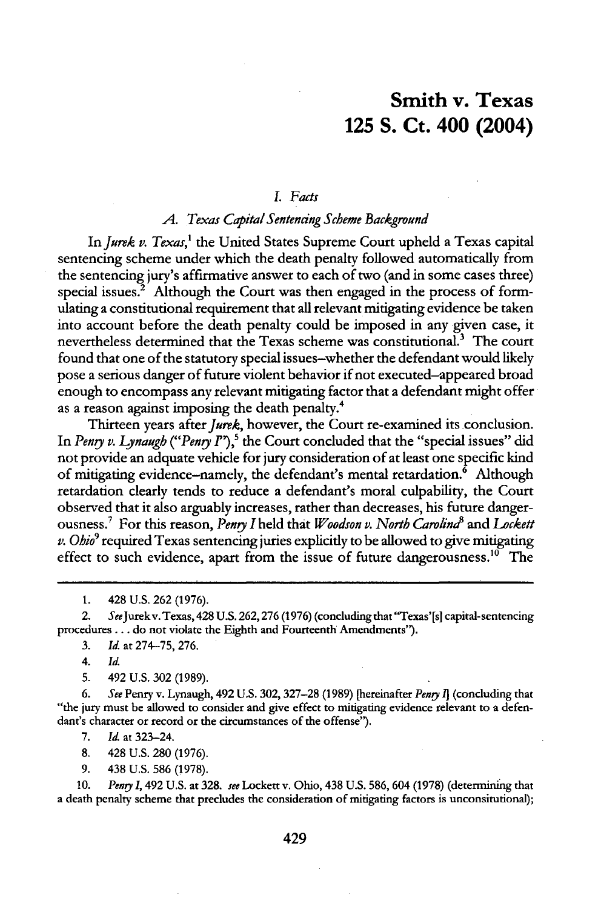## Smith v. Texas **125 S.** Ct. 400 (2004)

#### *L Facts*

#### *A. Texas Capital Sentencing Scheme Background*

*In Jurek v. Texas,'* the United States Supreme Court upheld a Texas capital sentencing scheme under which the death penalty followed automatically from the sentencing jury's affirmative answer to each of two (and in some cases three) special issues.<sup>2</sup> Although the Court was then engaged in the process of formulating a constitutional requirement that all relevant mitigating evidence be taken into account before the death penalty could be imposed in any given case, it nevertheless determined that the Texas scheme was constitutional.3 The court found that one of the statutory special issues-whether the defendant would likely pose a serious danger of future violent behavior if not executed-appeared broad enough to encompass any relevant mitigating factor that a defendant might offer as a reason against imposing the death penalty.4

Thirteen years after *Jurek,* however, the Court re-examined its conclusion. In *Penry v. Lynaugh* ("Penry P"),<sup>5</sup> the Court concluded that the "special issues" did not provide an adquate vehicle for jury consideration of at least one specific kind of mitigating evidence-namely, the defendant's mental retardation.<sup>6</sup> Although retardation clearly tends to reduce a defendant's moral culpability, the Court observed that it also arguably increases, rather than decreases, his future dangerousness.7 For this reason, *Pengy I* held that *Woodson v. North Carolina' and Lockett v. Ohio9* required Texas sentencing juries explicitly to be allowed to give mitigating effect to such evidence, apart from the issue of future dangerousness.<sup>10</sup> The

1. 428 U.S. 262 (1976).

2. SeeJurekv. Texas, 428 **U.S.** 262,276 (1976) (concluding that "Texas'[s] capital-sentencing procedures... do not violate the Eighth and Fourteenth Amendments').

**3.** *Id.* at **274-75, 276.**

4. *Id.*

**5.** 492 U.S. **302** (1989).

**6.** *See* Penry v. Lynaugh, 492 U.S. 302, **327-28** (1989) [hereinafter *Peny I]* (concluding that "the jury must be allowed to consider and give effect to mitigating evidence relevant to a defendant's character or record or the circumstances of the offense').

- **7.** *Id.* at 323-24.
- **8.** 428 U.S. **280** (1976).
- 9. 438 U.S. **586 (1978).**

10. *Peny I,* 492 U.S. at **328.** see Lockett v. Ohio, 438 U.S. **586,** 604 (1978) (determining that a death penalty scheme that precludes the consideration of mitigating factors is unconsitutional);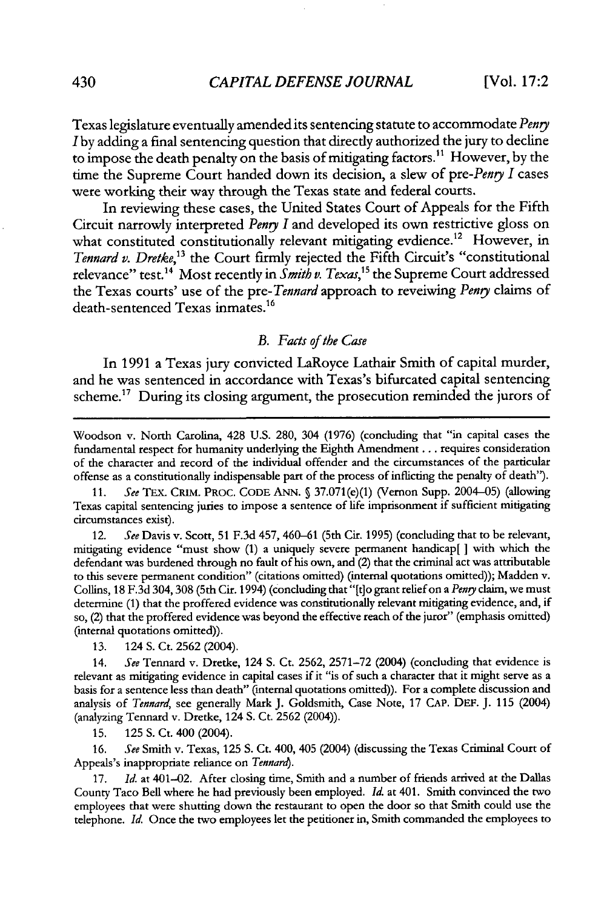Texas legislature eventually amended its sentencing statute to accommodate *Peny I* by adding a final sentencing question that directly authorized the jury to decline to impose the death penalty on the basis of mitigating factors.<sup>11</sup> However, by the time the Supreme Court handed down its decision, a slew of *pre-Pengy I* cases were working their way through the Texas state and federal courts.

In reviewing these cases, the United States Court of Appeals for the Fifth Circuit narrowly interpreted *Peny I* and developed its own restrictive gloss on what constituted constitutionally relevant mitigating evdience.<sup>12</sup> However, in *Tennard v. Dretke,"3* the Court firmly rejected the Fifth Circuit's "constitutional relevance" test.<sup>14</sup> Most recently in *Smith v. Texas*,<sup>15</sup> the Supreme Court addressed the Texas courts' use of the *pre-Tennard* approach to reveiwing *Peny* claims of death-sentenced Texas inmates.<sup>16</sup>

#### *B. Facts of the Case*

In 1991 a Texas jury convicted LaRoyce Lathair Smith of capital murder, and he was sentenced in accordance with Texas's bifurcated capital sentencing scheme.<sup>17</sup> During its closing argument, the prosecution reminded the jurors of

Woodson v. North Carolina, 428 U.S. 280, 304 (1976) (concluding that "in capital cases the fundamental respect for humanity underlying the Eighth Amendment... requires consideration of the character and record of the individual offender and the circumstances of the particular offense as a constitutionally indispensable part of the process of inflicting the penalty of death").

*11. See* TEX. CRIM. PROC. CODE ANN. § 37.071(e)(1) (Vernon Supp. 2004-05) (allowing Texas capital sentencing juries to impose a sentence of life imprisonment if sufficient mitigating circumstances exist).

12. *See* Davis v. Scott, 51 F.3d 457, 460-61 (5th Cir. 1995) (concluding that to be relevant, mitigating evidence "must show (1) a uniquely severe permanent handicap[ ] with which the defendant was burdened through no fault of his own, and (2) that the criminal act was attributable to this severe permanent condition" (citations omitted) (internal quotations omitted)); Madden v. Collins, 18 F.3d 304,308 (5th Cir. 1994) (concluding that "[t]o grant relief on a *Peny* claim, we must determine (1) that the proffered evidence was constitutionally relevant mitigating evidence, and, if so, (2) that the proffered evidence was beyond the effective reach of the juror" (emphasis omitted) (internal quotations omitted)).

13. 124 S. Ct. 2562 (2004).

14. *See* Termard v. Dretke, 124 S. Ct. 2562, 2571-72 (2004) (concluding that evidence is relevant as mitigating evidence in capital cases if it "is of such a character that it might serve as a basis for a sentence less than death" (internal quotations omitted)). For a complete discussion and analysis of *Tennard,* see generally Mark J. Goldsmith, Case Note, 17 CAP. DEF. J. 115 (2004) (analyzing Tennard v. Dretke, 124 **S.** Ct. 2562 (2004)).

15. 125 **S.** Ct. 400 (2004).

16. *See* Smith v. Texas, 125 S. Ct. 400, 405 (2004) (discussing the Texas Criminal Court of Appeals's inappropriate reliance on *Tennara).*

**17.** *Id.* at 401-02. After closing time, Smith and a number of friends arrived at the Dallas County Taco Bell where he had previously been employed. *Id.* at 401. Smith convinced the two employees that were shutting down the restaurant to open the door so that Smith could use the telephone. *Id.* Once the two employees let the petitioner in, Smith commanded the employees to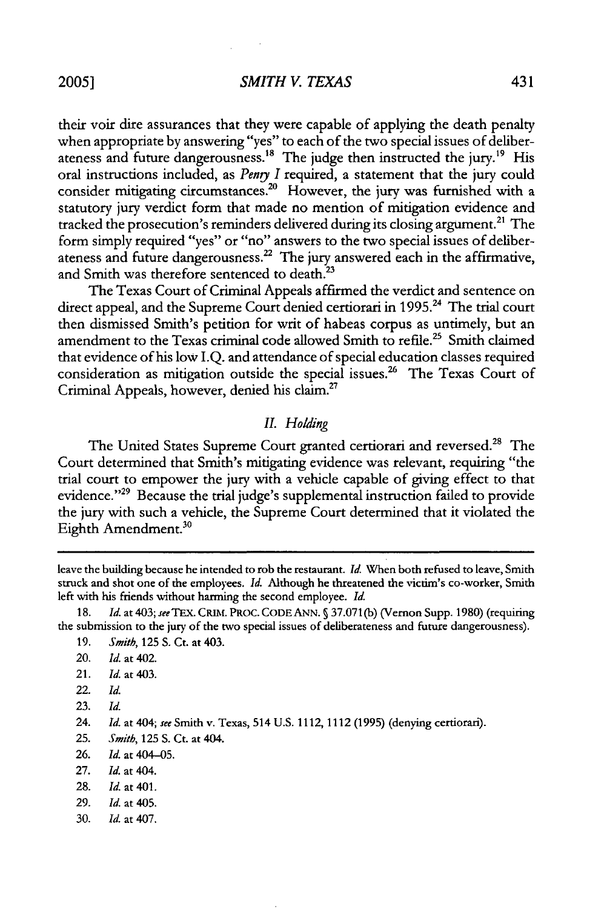their voir dire assurances that they were capable of applying the death penalty when appropriate by answering "yes" to each of the two special issues of deliberateness and future dangerousness.<sup>18</sup> The judge then instructed the jury.<sup>19</sup> His oral instructions included, as *Peny I* required, a statement that the jury could consider mitigating circumstances.<sup>20</sup> However, the jury was furnished with a statutory jury verdict form that made no mention of mitigation evidence and tracked the prosecution's reminders delivered during its closing argument.<sup>21</sup> The form simply required "yes" or "no" answers to the two special issues of deliberateness and future dangerousness.<sup>22</sup> The jury answered each in the affirmative, and Smith was therefore sentenced to death.<sup>23</sup>

The Texas Court of Criminal Appeals affirmed the verdict and sentence on direct appeal, and the Supreme Court denied certiorari in **1995.24** The trial court then dismissed Smith's petition for writ of habeas corpus as untimely, but an amendment to the Texas criminal code allowed Smith to refile.<sup>25</sup> Smith claimed that evidence of his low I.Q. and attendance of special education classes required consideration as mitigation outside the special issues.<sup>26</sup> The Texas Court of Criminal Appeals, however, denied his claim.<sup>27</sup>

#### II. *Holding*

The United States Supreme Court granted certiorari and reversed.<sup>28</sup> The Court determined that Smith's mitigating evidence was relevant, requiring "the trial court to empower the jury with a vehicle capable of giving effect to that evidence."29 Because the trial judge's supplemental instruction failed to provide the jury with such a vehicle, the Supreme Court determined that it violated the Eighth Amendment.<sup>30</sup>

19. Smith, 125 S. Ct. at 403.

- 22. Id.
- 23. **Id.**

24. Id. at 404; *see* Smith v. Texas, 514 U.S. 1112, 1112 (1995) (denying certiorari).

- 25. Smith, 125 **S.** Ct. at 404.
- 26. Id. at 404-05.
- 27. Id. at 404.
- 28. Id. at 401.
- 29. Id. at 405.
- 30. Id. at 407.

leave the building because he intended to rob the restaurant. Id. When both refused to leave, Smith struck and shot one of the employees. *Id.* Although he threatened the victim's co-worker, Smith left with his friends without harming the second employee. *Id.*

<sup>18.</sup> *Id.* at 403; *see* TEX. CRIm. PROC. CODE ANN. **§** 37.071(b) (Vernon Supp. 1980) (requiring the submission to the jury of the two special issues of deliberateness and future dangerousness).

<sup>20.</sup> *Id.* at 402.

<sup>21.</sup> *Id.* at 403.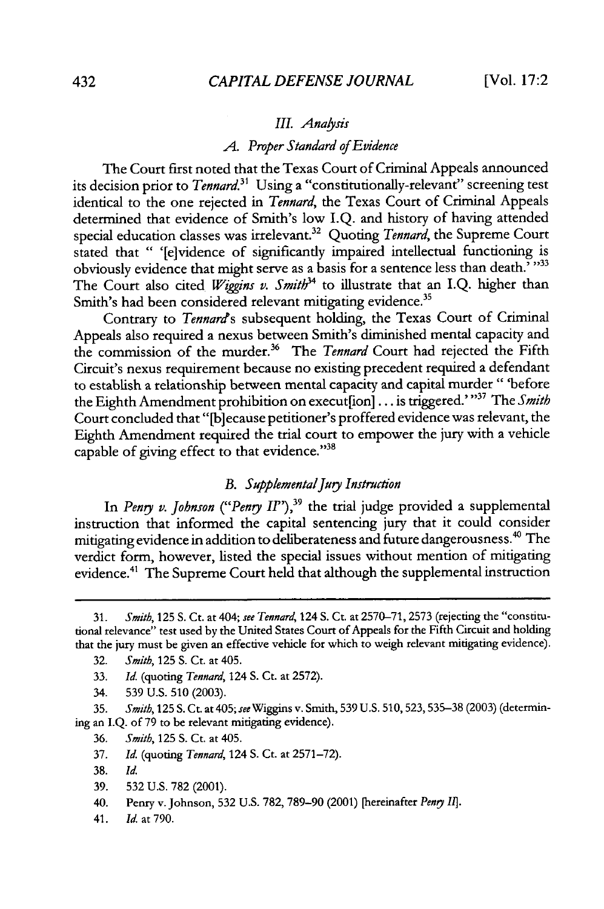#### III. *Analysis*

#### *A. Proper* Standard of Evidence

The Court first noted that the Texas Court of Criminal Appeals announced its decision prior to *Tennard.3 "* Using a "constitutionally-relevant" screening test identical to the one rejected in *Tennard,* the Texas Court of Criminal Appeals determined that evidence of Smith's low I.Q. and history of having attended special education classes was irrelevant.<sup>32</sup> Quoting *Tennard*, the Supreme Court stated that " '[elvidence of significantly impaired intellectual functioning is obviously evidence that might serve as a basis for a sentence less than death.' **"33** The Court also cited *Wiggins v. Smith*<sup>34</sup> to illustrate that an I.Q. higher than Smith's had been considered relevant mitigating evidence.<sup>35</sup>

Contrary to *Tennard's* subsequent holding, the Texas Court of Criminal Appeals also required a nexus between Smith's diminished mental capacity and the commission of the murder.36 The *Tennard* Court had rejected the Fifth Circuit's nexus requirement because no existing precedent required a defendant to establish a relationship between mental capacity and capital murder" 'before the Eighth Amendment prohibition on execut fion  $\left[ \ldots \right]$  is triggered."<sup>37</sup> The *Smith* Court concluded that "[b]ecause petitioner's proffered evidence was relevant, the Eighth Amendment required the trial court to empower the jury with a vehicle capable of giving effect to that evidence."3

#### **B.** Supplemental Jury Instruction

In Penry v. Johnson ("Penry II"),<sup>39</sup> the trial judge provided a supplemental instruction that informed the capital sentencing jury that it could consider mitigating evidence in addition to deliberateness and future dangerousness.<sup>40</sup> The verdict form, however, listed the special issues without mention of mitigating evidence.<sup>41</sup> The Supreme Court held that although the supplemental instruction

34. 539 U.S. 510 (2003).

35. *Smith,* 125 S. Ct. at 405; *see* Wiggins v. Smith, 539 U.S. 510,523,535-38 (2003) (determining an I.Q. of 79 to be relevant mitigating evidence).

- 36. *Smith,* 125 **S.** Ct. at 405.
- 37. *Id.* (quoting *Tennard,* 124 **S.** Ct. at 2571-72).
- 38. *Id.*
- 39. 532 U.S. 782 (2001).
- 40. Penry v. Johnson, 532 U.S. 782, 789-90 (2001) [hereinafter Penry II].
- 41. *Id.* at 790.

<sup>31.</sup> *Smith,* 125 **S.** Ct. at 404; **see** *Tennard,* 124 S. Ct. at 2570-71, 2573 (rejecting the "constitutional relevance" test used by the United States Court of Appeals for the Fifth Circuit and holding that the jury must be given an effective vehicle for which to weigh relevant mitigating evidence).

<sup>32.</sup> *Smith,* 125 **S.** Ct. at 405.

<sup>33.</sup> *Id.* (quoting *Tennard,* 124 **S.** Ct. at 2572).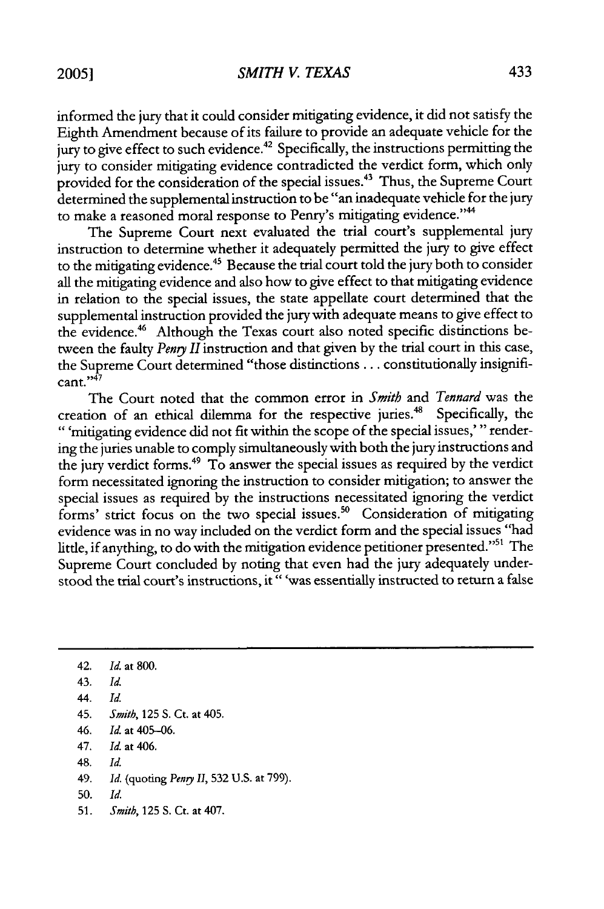informed the jury that it could consider mitigating evidence, it did not satisfy the Eighth Amendment because of its failure to provide an adequate vehicle for the jury to give effect to such evidence.<sup>42</sup> Specifically, the instructions permitting the

jury to consider mitigating evidence contradicted the verdict form, which only provided for the consideration of the special issues.<sup>43</sup> Thus, the Supreme Court determined the supplemental instruction to be "an inadequate vehicle for the jury to make a reasoned moral response to Penry's mitigating evidence."<sup>44</sup>

The Supreme Court next evaluated the trial court's supplemental jury instruction to determine whether it adequately permitted the jury to give effect to the mitigating evidence.<sup>45</sup> Because the trial court told the jury both to conside: all the mitigating evidence and also how to give effect to that mitigating evidence in relation to the special issues, the state appellate court determined that the supplemental instruction provided the jury with adequate means to give effect to the evidence.<sup>46</sup> Although the Texas court also noted specific distinctions between the faulty *Peny 11* instruction and that given by the trial court in this case, the Supreme Court determined "those distinctions **...** constitutionally insignificant." $47$ 

The Court noted that the common error in *Smith* and *Tennard* was the creation of an ethical dilemma for the respective juries." Specifically, the "'mitigating evidence did not fit within the scope of the special issues,' "rendering the juries unable to comply simultaneously with both the jury instructions and the jury verdict forms.49 To answer the special issues as required **by** the verdict form necessitated ignoring the instruction to consider mitigation; to answer the special issues as required **by** the instructions necessitated ignoring the verdict forms' strict focus on the two special issues.<sup>50</sup> Consideration of mitigating evidence was in no way included on the verdict form and the special issues "had little, if anything, to do with the mitigation evidence petitioner presented."<sup>51</sup> The Supreme Court concluded by noting that even had the jury adequately understood the trial court's instructions, it" 'was essentially instructed to return a false

- 48. *Id.*
- 49. *Id.* (quoting *Peny II,* 532 U.S. at 799).
- 50. Id.
- 51. *Smith,* 125 S. Ct. at 407.

<sup>42.</sup> *Id.* at 800.

<sup>43.</sup> *Id.*

<sup>44.</sup> *Id.*

<sup>45.</sup> Smith, **125** S. Ct. at 405.

<sup>46.</sup> *Id.* at 405-06.

<sup>47.</sup> *Id.* at 406.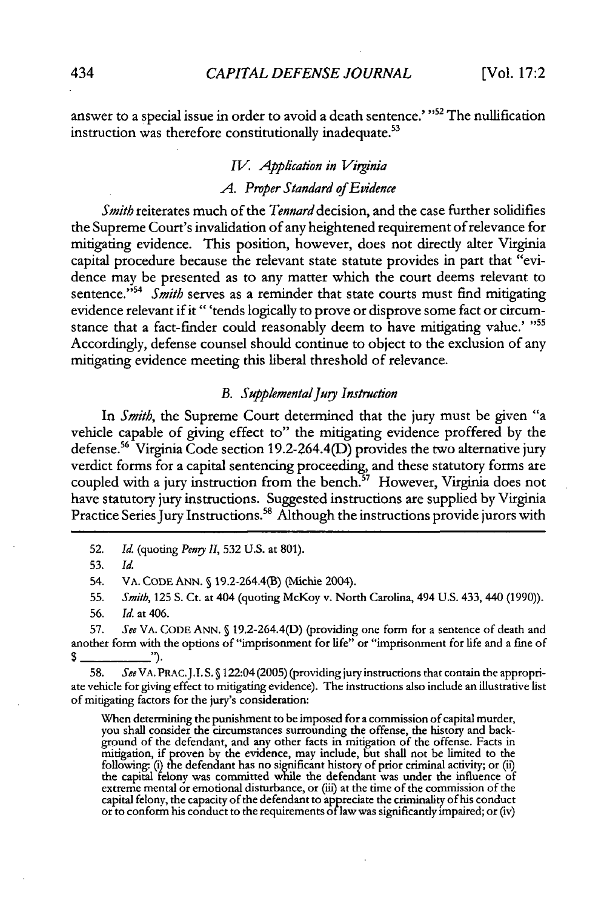answer to a special issue in order to avoid a death sentence.' "<sup>52</sup> The nullification instruction was therefore constitutionally inadequate.<sup>53</sup>

### IV. *Application in Viginia* A. Proper Standard of Evidence

*Smith* reiterates much of the *Tennard decision,* and the case further solidifies the Supreme Court's invalidation of any heightened requirement of relevance for mitigating evidence. This position, however, does not directly alter Virginia capital procedure because the relevant state statute provides in part that "evidence may be presented as to any matter which the court deems relevant to sentence."<sup>54</sup> Smith serves as a reminder that state courts must find mitigating evidence relevant if it "'tends logically to prove or disprove some fact or circumstance that a fact-finder could reasonably deem to have mitigating value.' **"5** Accordingly, defense counsel should continue to object to the exclusion of any mitigating evidence meeting this liberal threshold of relevance.

#### *B. Supplemental jugy Instruction*

In *Smith,* the Supreme Court determined that the jury must be given "a vehicle capable of giving effect to" the mitigating evidence proffered by the defense.<sup>56</sup> Virginia Code section 19.2-264.4(D) provides the two alternative jury verdict forms for a capital sentencing proceeding, and these statutory forms are coupled with a jury instruction from the bench.<sup>37</sup> However, Virginia does not have statutory jury instructions. Suggested instructions are supplied by Virginia Practice Series Jury Instructions.<sup>58</sup> Although the instructions provide jurors with

54. VA. CODE ANN. **S** 19.2-264.4(B) (Michie 2004).

55. Smith, **125** S. Ct. at 404 (quoting McKoy v. North Carolina, 494 U.S. 433, 440 (1990)).

57. *See* VA. CODE ANN. § 19.2-264.4(D) (providing one form for a sentence of death and another form with the options of "imprisonment for life" or "imprisonment for life and a fine of **\$ \_ '\_ .**

58. *See* VA. PRAc.J.I.S. **§** 122:04 (2005) (providing jury instructions that contain the appropriate vehicle for giving effect to mitigating evidence). The instructions also include an illustrative fist of mitigating factors for the jury's consideration:

When determining the punishment to be imposed for a commission of capital murder, you shall consider the circumstances surrounding the offense, the history and background of the defendant, and any other facts in mitigation of the offense. Facts in nitigation, if proven by the evidence, may include, but shall not be limited to the following- (i) the defendant has no significant history of prior criminal activity; or (ii) the capital felony was committed while the defendant was under the influence of extreme mental or emotional disturbance, or (iii) at the time of the commission of the capital felony, the capacity of the defendant to appreciate the criminality of his conduct or to conform his conduct to the requirements of law was significantly impaired; or (iv)

<sup>52.</sup> *Id.* (quoting *Peny* 1I, 532 U.S. at 801).

**<sup>53.</sup>** *Id.*

<sup>56.</sup> *Id.* at 406.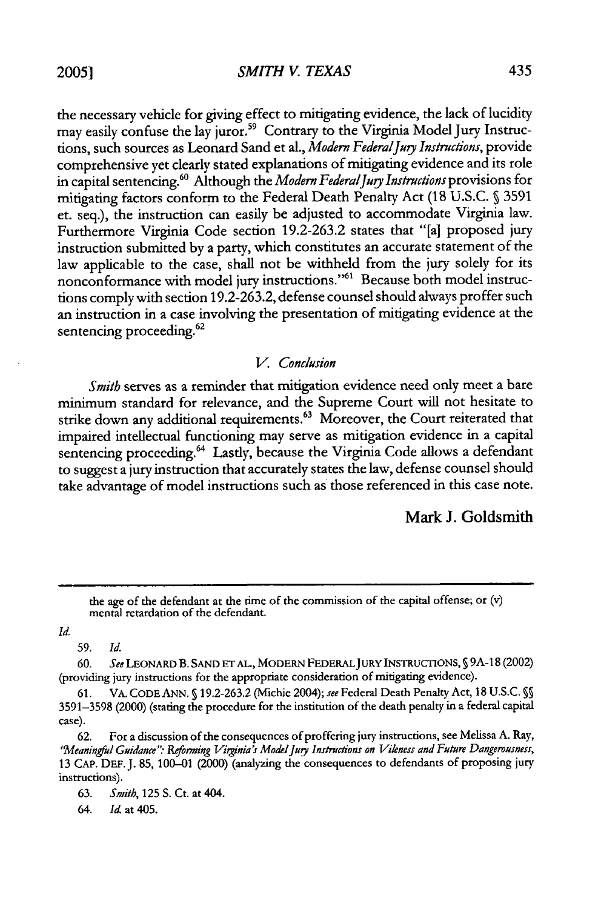*SMITH V. TEXAS*

the necessary vehicle for giving effect to mitigating evidence, the lack of lucidity may easily confuse the lay juror.<sup>59</sup> Contrary to the Virginia Model Jury Instructions, such sources as Leonard Sand et al., *Modern FederalJuy Instructions,* provide comprehensive yet clearly stated explanations of mitigating evidence and its role in capital sentencing.60 Although the *Modern FederalJuy Instructions* provisions for mitigating factors conform to the Federal Death Penalty Act (18 U.S.C. § 3591 et. seq.), the instruction can easily be adjusted to accommodate Virginia law. Furthermore Virginia Code section 19.2-263.2 states that "[a] proposed jury instruction submitted by a party, which constitutes an accurate statement of the law applicable to the case, shall not be withheld from the jury solely for its nonconformance with model jury instructions."<sup>61</sup> Because both model instructions comply with section 19.2-263.2, defense counsel should always proffer such an instruction in a case involving the presentation of mitigating evidence at the sentencing proceeding.<sup>62</sup>

#### *V. Conclusion*

*Smith* serves as a reminder that mitigation evidence need only meet a bare minimum standard for relevance, and the Supreme Court will not hesitate to strike down any additional requirements.<sup>63</sup> Moreover, the Court reiterated that impaired intellectual functioning may serve as mitigation evidence in a capital sentencing proceeding.<sup>64</sup> Lastly, because the Virginia Code allows a defendant to suggest a jury instruction that accurately states the law, defense counsel should take advantage of model instructions such as those referenced in this case note.

#### Mark **J.** Goldsmith

*Id.*

59. *Id.*

*60. See* **LEONARD** B. **SAND ET AL., MODERN FEDERALJURY INSTRUCTIONS, § 9A-18** (2002) (providing jury instructions for the appropriate consideration of mitigating evidence).

61. VA. CODE ANN. **§** 19.2-263.2 (Michie 2004); *see* Federal Death Penalty Act, 18 U.S.C. § 3591-3598 (2000) (stating the procedure for the institution of the death penalty in a federal capital case).

62. For a discussion of the consequences of proffering jury instructions, see Melissa A. Ray, 'Meaningful Guidance": *Reforming Virginia's Model Jury Instructions on Vileness and Future Dangerousness*, 13 CAP. DEF. J. **85,** 100-01 (2000) (analyzing the consequences to defendants of proposing jury instructions).

63. *Smith,* 125 S. Ct. at 404.

64. *Id.* at 405.

the age of the defendant at the time of the commission of the capital offense; or (v) mental retardation of the defendant.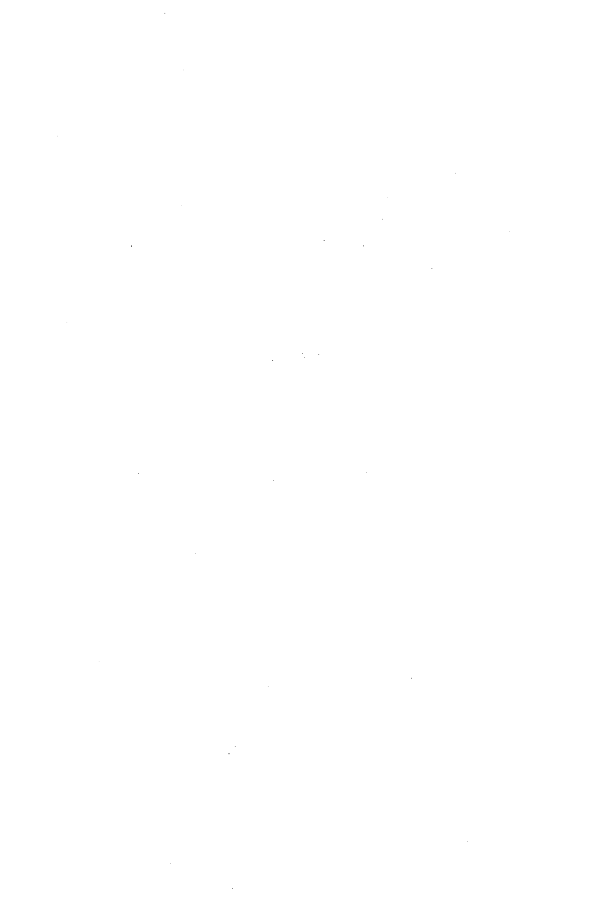$\mathcal{L}^{\text{max}}_{\text{max}}$  and  $\mathcal{L}^{\text{max}}_{\text{max}}$ 

 $\label{eq:2.1} \mathcal{L}(\mathcal{L}^{\mathcal{L}}_{\mathcal{L}}(\mathcal{L}^{\mathcal{L}}_{\mathcal{L}}))\leq \mathcal{L}(\mathcal{L}^{\mathcal{L}}_{\mathcal{L}}(\mathcal{L}^{\mathcal{L}}_{\mathcal{L}}))$  $\label{eq:2.1} \mathcal{L}(\mathcal{L}^{\text{max}}_{\mathcal{L}}(\mathcal{L}^{\text{max}}_{\mathcal{L}})) \leq \mathcal{L}(\mathcal{L}^{\text{max}}_{\mathcal{L}}(\mathcal{L}^{\text{max}}_{\mathcal{L}}))$ 

 $\label{eq:2.1} \mathcal{L}_{\mathcal{A}}(\mathcal{A}) = \mathcal{L}_{\mathcal{A}}(\mathcal{A}) \mathcal{A}(\mathcal{A}) = \mathcal{L}_{\mathcal{A}}(\mathcal{A})$ 

 $\label{eq:2.1} \frac{1}{2} \sum_{i=1}^n \frac{1}{2} \sum_{j=1}^n \frac{1}{2} \sum_{j=1}^n \frac{1}{2} \sum_{j=1}^n \frac{1}{2} \sum_{j=1}^n \frac{1}{2} \sum_{j=1}^n \frac{1}{2} \sum_{j=1}^n \frac{1}{2} \sum_{j=1}^n \frac{1}{2} \sum_{j=1}^n \frac{1}{2} \sum_{j=1}^n \frac{1}{2} \sum_{j=1}^n \frac{1}{2} \sum_{j=1}^n \frac{1}{2} \sum_{j=1}^n \frac{$ 

 $\mathcal{L}_{\text{max}}$  ,  $\mathcal{L}_{\text{max}}$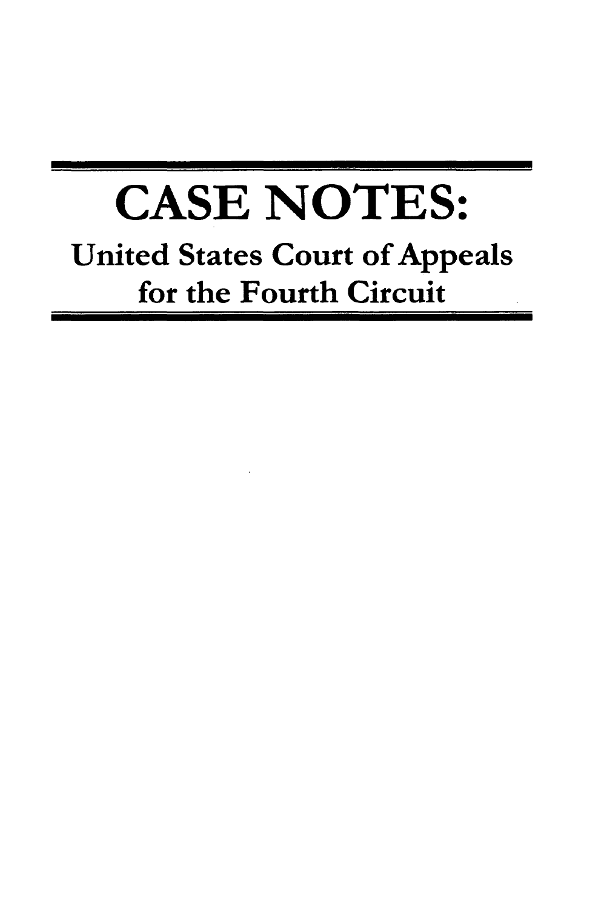# **CASE NOTES:** United States Court of Appeals for the Fourth Circuit